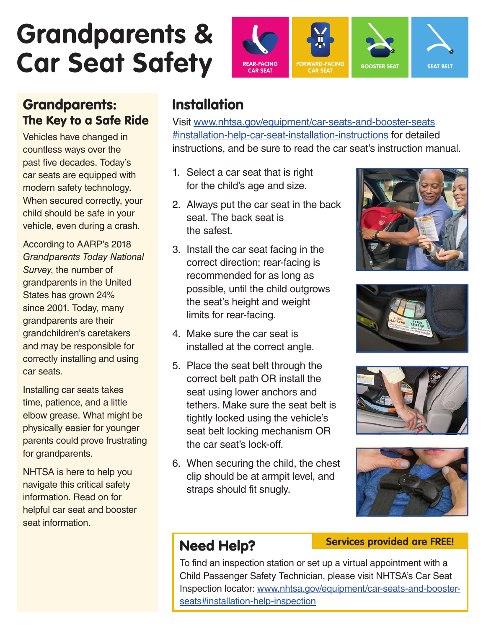# **Grandparents &**



## Grandparents: The Key to a Safe Ride

Vehicles have changed in countless ways over the past five decades. Today's car seats are equipped with modern safety technology. When secured correctly, your child should be safe in your vehicle, even during a crash.

According to AARP's 2018 *Grandparents Today National Survey*, the number of grandparents in the United States has grown 24% since 2001. Today, many grandparents are their grandchildren's caretakers and may be responsible for correctly installing and using car seats.

Installing car seats takes time, patience, and a little elbow grease. What might be physically easier for younger parents could prove frustrating for grandparents.

NHTSA is here to help you navigate this critical safety information. Read on for helpful car seat and booster seat information.

## Installation

Visit www.nhtsa.gov/equipment/car-seats-and-booster-seats #installation-help-car-seat-installation-instructions for detailed instructions, and be sure to read the car seat's instruction manual.

- 1. Select a car seat that is right for the child's age and size.
- 2. Always put the car seat in the back seat. The back seat is the safest.
- 3. Install the car seat facing in the correct direction; rear-facing is recommended for as long as possible, until the child outgrows the seat's height and weight limits for rear-facing.
- 4. Make sure the car seat is installed at the correct angle.
- 5. Place the seat belt through the correct belt path OR install the seat using lower anchors and tethers. Make sure the seat belt is tightly locked using the vehicle's seat belt locking mechanism OR the car seat's lock-off.
- 6. When securing the child, the chest clip should be at armpit level, and straps should fit snugly.









## Need Help?

**Services provided are FREE!**

To find an inspection station or set up a virtual appointment with a Child Passenger Safety Technician, please visit NHTSA's Car Seat Inspection locator: www.nhtsa.gov/equipment/car-seats-and-boosterseats#installation-help-inspection